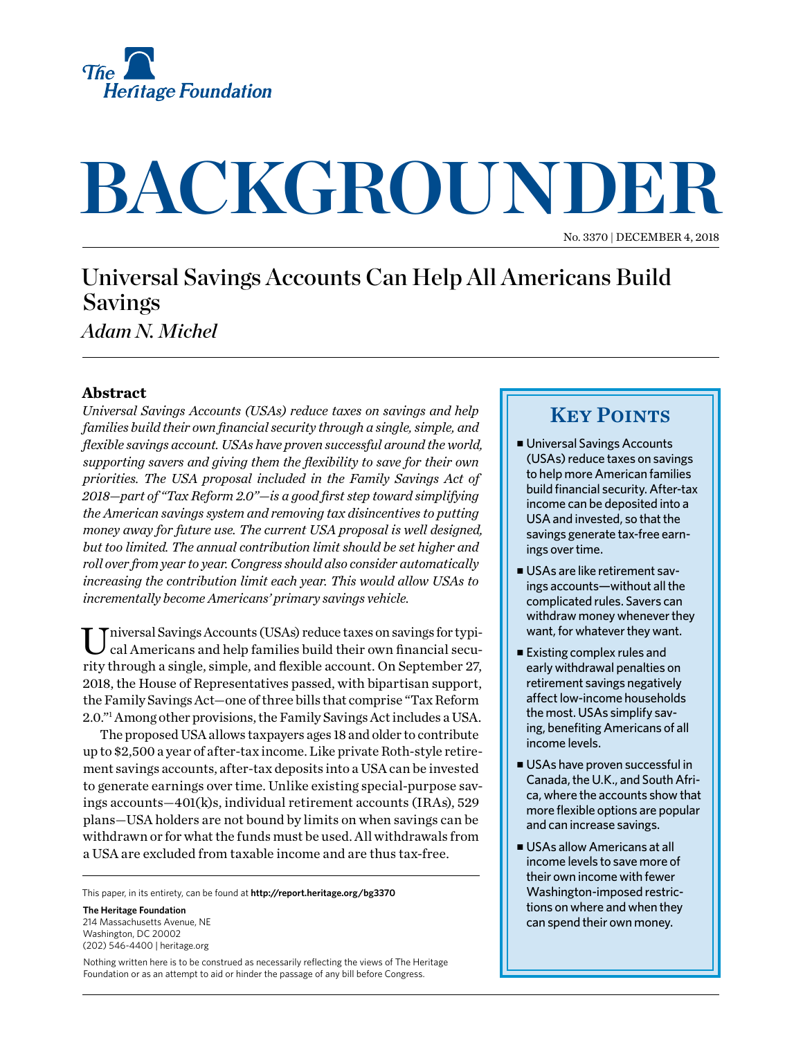

# **BACKGROUNDER**

No. 3370 | December 4, 2018

## Universal Savings Accounts Can Help All Americans Build Savings

*Adam N. Michel*

#### **Abstract**

*Universal Savings Accounts (USAs) reduce taxes on savings and help families build their own financial security through a single, simple, and flexible savings account. USAs have proven successful around the world, supporting savers and giving them the flexibility to save for their own priorities. The USA proposal included in the Family Savings Act of 2018—part of "Tax Reform 2.0"—is a good first step toward simplifying the American savings system and removing tax disincentives to putting money away for future use. The current USA proposal is well designed, but too limited. The annual contribution limit should be set higher and roll over from year to year. Congress should also consider automatically increasing the contribution limit each year. This would allow USAs to incrementally become Americans' primary savings vehicle.*

Universal Savings Accounts (USAs) reduce taxes on savings for typi-cal Americans and help families build their own financial security through a single, simple, and flexible account. On September 27, 2018, the House of Representatives passed, with bipartisan support, the Family Savings Act—one of three bills that comprise "Tax Reform 2.0."1 Among other provisions, the Family Savings Act includes a USA.

The proposed USA allows taxpayers ages 18 and older to contribute up to \$2,500 a year of after-tax income. Like private Roth-style retirement savings accounts, after-tax deposits into a USA can be invested to generate earnings over time. Unlike existing special-purpose savings accounts—401(k)s, individual retirement accounts (IRAs), 529 plans—USA holders are not bound by limits on when savings can be withdrawn or for what the funds must be used. All withdrawals from a USA are excluded from taxable income and are thus tax-free.

This paper, in its entirety, can be found at **http://report.heritage.org/bg3370**

**The Heritage Foundation** 214 Massachusetts Avenue, NE Washington, DC 20002 (202) 546-4400 | [heritage.org](http://www.heritage.org)

Nothing written here is to be construed as necessarily reflecting the views of The Heritage Foundation or as an attempt to aid or hinder the passage of any bill before Congress.

### **KEY POINTS**

- Universal Savings Accounts (USAs) reduce taxes on savings to help more American families build financial security. After-tax income can be deposited into a USA and invested, so that the savings generate tax-free earnings over time.
- USAs are like retirement savings accounts—without all the complicated rules. Savers can withdraw money whenever they want, for whatever they want.
- $\blacksquare$  Existing complex rules and early withdrawal penalties on retirement savings negatively affect low-income households the most. USAs simplify saving, benefiting Americans of all income levels.
- <sup>n</sup> USAs have proven successful in Canada, the U.K., and South Africa, where the accounts show that more flexible options are popular and can increase savings.
- USAs allow Americans at all income levels to save more of their own income with fewer Washington-imposed restrictions on where and when they can spend their own money.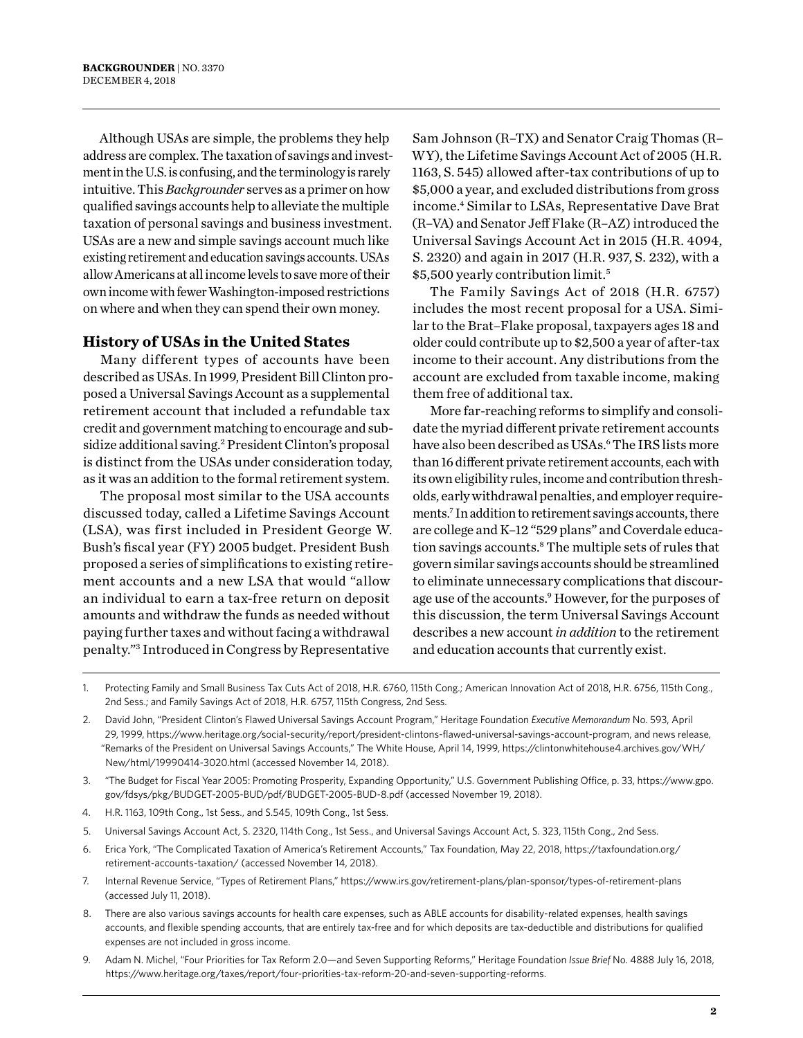Although USAs are simple, the problems they help address are complex. The taxation of savings and investment in the U.S. is confusing, and the terminology is rarely intuitive. This *Backgrounder* serves as a primer on how qualified savings accounts help to alleviate the multiple taxation of personal savings and business investment. USAs are a new and simple savings account much like existing retirement and education savings accounts. USAs allow Americans at all income levels to save more of their own income with fewer Washington-imposed restrictions on where and when they can spend their own money.

#### **History of USAs in the United States**

Many different types of accounts have been described as USAs. In 1999, President Bill Clinton proposed a Universal Savings Account as a supplemental retirement account that included a refundable tax credit and government matching to encourage and subsidize additional saving.<sup>2</sup> President Clinton's proposal is distinct from the USAs under consideration today, as it was an addition to the formal retirement system.

The proposal most similar to the USA accounts discussed today, called a Lifetime Savings Account (LSA), was first included in President George W. Bush's fiscal year (FY) 2005 budget. President Bush proposed a series of simplifications to existing retirement accounts and a new LSA that would "allow an individual to earn a tax-free return on deposit amounts and withdraw the funds as needed without paying further taxes and without facing a withdrawal penalty."3 Introduced in Congress by Representative

Sam Johnson (R–TX) and Senator Craig Thomas (R– WY), the Lifetime Savings Account Act of 2005 (H.R. 1163, S. 545) allowed after-tax contributions of up to \$5,000 a year, and excluded distributions from gross income.4 Similar to LSAs, Representative Dave Brat (R–VA) and Senator Jeff Flake (R–AZ) introduced the Universal Savings Account Act in 2015 (H.R. 4094, S. 2320) and again in 2017 (H.R. 937, S. 232), with a \$5,500 yearly contribution limit.5

The Family Savings Act of 2018 (H.R. 6757) includes the most recent proposal for a USA. Similar to the Brat–Flake proposal, taxpayers ages 18 and older could contribute up to \$2,500 a year of after-tax income to their account. Any distributions from the account are excluded from taxable income, making them free of additional tax.

More far-reaching reforms to simplify and consolidate the myriad different private retirement accounts have also been described as USAs.<sup>6</sup> The IRS lists more than 16 different private retirement accounts, each with its own eligibility rules, income and contribution thresholds, early withdrawal penalties, and employer requirements.7 In addition to retirement savings accounts, there are college and K–12 "529 plans" and Coverdale education savings accounts.<sup>8</sup> The multiple sets of rules that govern similar savings accounts should be streamlined to eliminate unnecessary complications that discourage use of the accounts.<sup>9</sup> However, for the purposes of this discussion, the term Universal Savings Account describes a new account *in addition* to the retirement and education accounts that currently exist.

- 4. H.R. 1163, 109th Cong., 1st Sess., and S.545, 109th Cong., 1st Sess.
- 5. Universal Savings Account Act, S. 2320, 114th Cong., 1st Sess., and Universal Savings Account Act, S. 323, 115th Cong., 2nd Sess.
- 6. Erica York, "The Complicated Taxation of America's Retirement Accounts," Tax Foundation, May 22, 2018, [https://taxfoundation.org/](https://taxfoundation.org/retirement-accounts-taxation/) [retirement-accounts-taxation/](https://taxfoundation.org/retirement-accounts-taxation/) (accessed November 14, 2018).
- 7. Internal Revenue Service, "Types of Retirement Plans," <https://www.irs.gov/retirement-plans/plan-sponsor/types-of-retirement-plans> (accessed July 11, 2018).
- 8. There are also various savings accounts for health care expenses, such as ABLE accounts for disability-related expenses, health savings accounts, and flexible spending accounts, that are entirely tax-free and for which deposits are tax-deductible and distributions for qualified expenses are not included in gross income.
- 9. Adam N. Michel, "Four Priorities for Tax Reform 2.0—and Seven Supporting Reforms," Heritage Foundation *Issue Brief* No. 4888 July 16, 2018, [https://www.heritage.org/taxes/report/four-priorities-tax-reform-20-and-seven-supporting-reforms.](https://www.heritage.org/taxes/report/four-priorities-tax-reform-20-and-seven-supporting-reforms)

<sup>1.</sup> Protecting Family and Small Business Tax Cuts Act of 2018, H.R. 6760, 115th Cong.; American Innovation Act of 2018, H.R. 6756, 115th Cong., 2nd Sess.; and Family Savings Act of 2018, H.R. 6757, 115th Congress, 2nd Sess.

<sup>2.</sup> David John, "President Clinton's Flawed Universal Savings Account Program," Heritage Foundation *Executive Memorandum* No. 593, April 29, 1999,<https://www.heritage.org/social-security/report/president-clintons-flawed-universal-savings-account-program>, and news release, "Remarks of the President on Universal Savings Accounts," The White House, April 14, 1999, [https://clintonwhitehouse4.archives.gov/WH/](https://clintonwhitehouse4.archives.gov/WH/New/html/19990414-3020.html) [New/html/19990414-3020.html](https://clintonwhitehouse4.archives.gov/WH/New/html/19990414-3020.html) (accessed November 14, 2018).

<sup>3.</sup> "The Budget for Fiscal Year 2005: Promoting Prosperity, Expanding Opportunity," U.S. Government Publishing Office, p. 33, [https://www.gpo.](https://www.gpo.gov/fdsys/pkg/BUDGET-2005-BUD/pdf/BUDGET-2005-BUD-8.pdf) [gov/fdsys/pkg/BUDGET-2005-BUD/pdf/BUDGET-2005-BUD-8.pdf](https://www.gpo.gov/fdsys/pkg/BUDGET-2005-BUD/pdf/BUDGET-2005-BUD-8.pdf) (accessed November 19, 2018).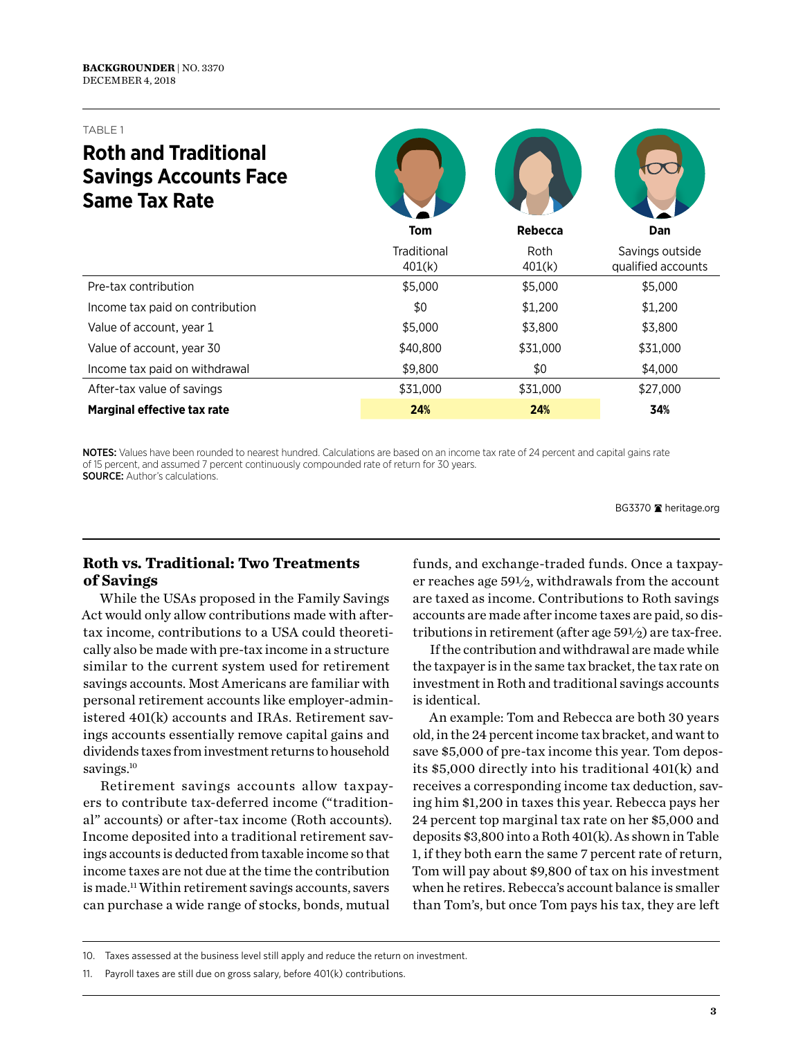# **Roth and Traditional Savings Accounts Face**

| <b>Same Tax Rate</b>            |                       |                |                                       |
|---------------------------------|-----------------------|----------------|---------------------------------------|
|                                 | <b>Tom</b>            | Rebecca        | Dan                                   |
|                                 | Traditional<br>401(k) | Roth<br>401(k) | Savings outside<br>qualified accounts |
| Pre-tax contribution            | \$5,000               | \$5,000        | \$5,000                               |
| Income tax paid on contribution | \$0                   | \$1,200        | \$1,200                               |
| Value of account, year 1        | \$5,000               | \$3,800        | \$3,800                               |
| Value of account, year 30       | \$40,800              | \$31,000       | \$31,000                              |
| Income tax paid on withdrawal   | \$9,800               | \$0            | \$4,000                               |
| After-tax value of savings      | \$31,000              | \$31,000       | \$27,000                              |
| Marginal effective tax rate     | 24%                   | 24%            | 34%                                   |

OD O

NOTES: Values have been rounded to nearest hundred. Calculations are based on an income tax rate of 24 percent and capital gains rate of 15 percent, and assumed 7 percent continuously compounded rate of return for 30 years. SOURCE: Author's calculations.

BG3370 heritage.org

#### **Roth vs. Traditional: Two Treatments of Savings**

While the USAs proposed in the Family Savings Act would only allow contributions made with aftertax income, contributions to a USA could theoretically also be made with pre-tax income in a structure similar to the current system used for retirement savings accounts. Most Americans are familiar with personal retirement accounts like employer-administered 401(k) accounts and IRAs. Retirement savings accounts essentially remove capital gains and dividends taxes from investment returns to household savings.<sup>10</sup>

Retirement savings accounts allow taxpayers to contribute tax-deferred income ("traditional" accounts) or after-tax income (Roth accounts). Income deposited into a traditional retirement savings accounts is deducted from taxable income so that income taxes are not due at the time the contribution is made.11 Within retirement savings accounts, savers can purchase a wide range of stocks, bonds, mutual

funds, and exchange-traded funds. Once a taxpayer reaches age 59½, withdrawals from the account are taxed as income. Contributions to Roth savings accounts are made after income taxes are paid, so distributions in retirement (after age 59½) are tax-free.

If the contribution and withdrawal are made while the taxpayer is in the same tax bracket, the tax rate on investment in Roth and traditional savings accounts is identical.

An example: Tom and Rebecca are both 30 years old, in the 24 percent income tax bracket, and want to save \$5,000 of pre-tax income this year. Tom deposits \$5,000 directly into his traditional 401(k) and receives a corresponding income tax deduction, saving him \$1,200 in taxes this year. Rebecca pays her 24 percent top marginal tax rate on her \$5,000 and deposits \$3,800 into a Roth 401(k). As shown in Table 1, if they both earn the same 7 percent rate of return, Tom will pay about \$9,800 of tax on his investment when he retires. Rebecca's account balance is smaller than Tom's, but once Tom pays his tax, they are left

<sup>10.</sup> Taxes assessed at the business level still apply and reduce the return on investment.

<sup>11.</sup> Payroll taxes are still due on gross salary, before 401(k) contributions.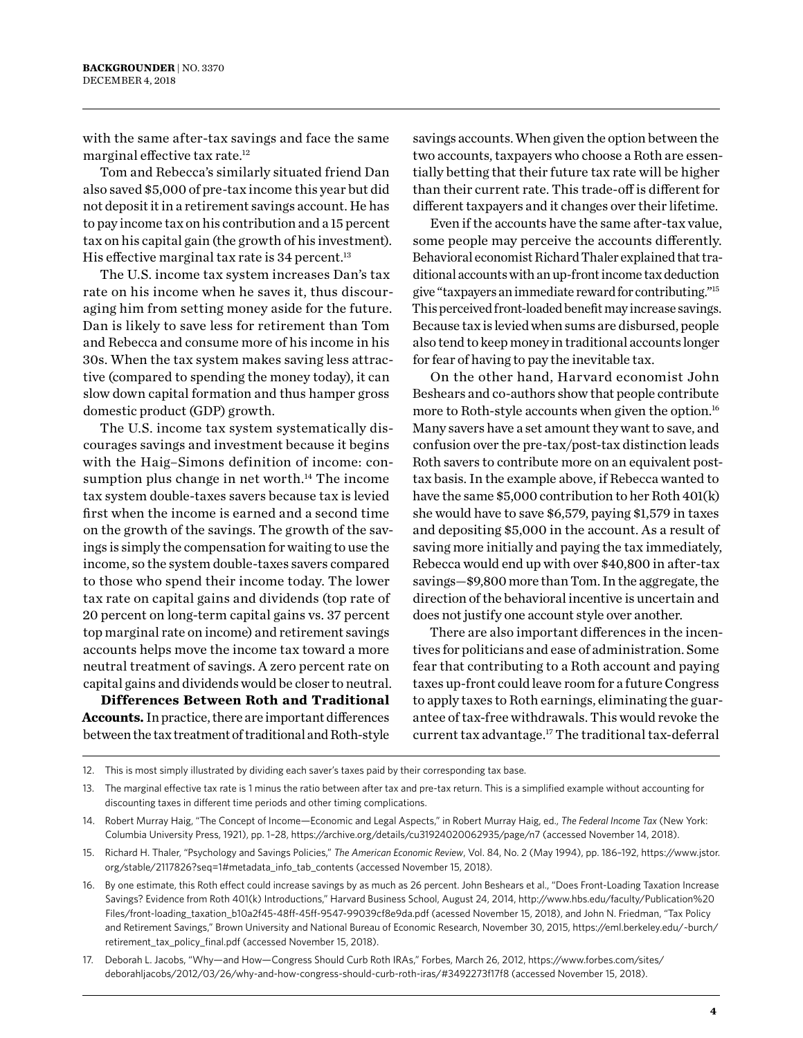with the same after-tax savings and face the same marginal effective tax rate.12

Tom and Rebecca's similarly situated friend Dan also saved \$5,000 of pre-tax income this year but did not deposit it in a retirement savings account. He has to pay income tax on his contribution and a 15 percent tax on his capital gain (the growth of his investment). His effective marginal tax rate is  $34$  percent.<sup>13</sup>

The U.S. income tax system increases Dan's tax rate on his income when he saves it, thus discouraging him from setting money aside for the future. Dan is likely to save less for retirement than Tom and Rebecca and consume more of his income in his 30s. When the tax system makes saving less attractive (compared to spending the money today), it can slow down capital formation and thus hamper gross domestic product (GDP) growth.

The U.S. income tax system systematically discourages savings and investment because it begins with the Haig–Simons definition of income: consumption plus change in net worth.<sup>14</sup> The income tax system double-taxes savers because tax is levied first when the income is earned and a second time on the growth of the savings. The growth of the savings is simply the compensation for waiting to use the income, so the system double-taxes savers compared to those who spend their income today. The lower tax rate on capital gains and dividends (top rate of 20 percent on long-term capital gains vs. 37 percent top marginal rate on income) and retirement savings accounts helps move the income tax toward a more neutral treatment of savings. A zero percent rate on capital gains and dividends would be closer to neutral.

**Differences Between Roth and Traditional Accounts.** In practice, there are important differences between the tax treatment of traditional and Roth-style

savings accounts. When given the option between the two accounts, taxpayers who choose a Roth are essentially betting that their future tax rate will be higher than their current rate. This trade-off is different for different taxpayers and it changes over their lifetime.

Even if the accounts have the same after-tax value, some people may perceive the accounts differently. Behavioral economist Richard Thaler explained that traditional accounts with an up-front income tax deduction give "taxpayers an immediate reward for contributing."15 This perceived front-loaded benefit may increase savings. Because tax is levied when sums are disbursed, people also tend to keep money in traditional accounts longer for fear of having to pay the inevitable tax.

On the other hand, Harvard economist John Beshears and co-authors show that people contribute more to Roth-style accounts when given the option.16 Many savers have a set amount they want to save, and confusion over the pre-tax/post-tax distinction leads Roth savers to contribute more on an equivalent posttax basis. In the example above, if Rebecca wanted to have the same \$5,000 contribution to her Roth 401(k) she would have to save \$6,579, paying \$1,579 in taxes and depositing \$5,000 in the account. As a result of saving more initially and paying the tax immediately, Rebecca would end up with over \$40,800 in after-tax savings—\$9,800 more than Tom. In the aggregate, the direction of the behavioral incentive is uncertain and does not justify one account style over another.

There are also important differences in the incentives for politicians and ease of administration. Some fear that contributing to a Roth account and paying taxes up-front could leave room for a future Congress to apply taxes to Roth earnings, eliminating the guarantee of tax-free withdrawals. This would revoke the current tax advantage.17 The traditional tax-deferral

<sup>12.</sup> This is most simply illustrated by dividing each saver's taxes paid by their corresponding tax base.

<sup>13.</sup> The marginal effective tax rate is 1 minus the ratio between after tax and pre-tax return. This is a simplified example without accounting for discounting taxes in different time periods and other timing complications.

<sup>14.</sup> Robert Murray Haig, "The Concept of Income—Economic and Legal Aspects," in Robert Murray Haig, ed., *The Federal Income Tax* (New York: Columbia University Press, 1921), pp. 1–28,<https://archive.org/details/cu31924020062935/page/n7> (accessed November 14, 2018).

<sup>15.</sup> Richard H. Thaler, "Psychology and Savings Policies," *The American Economic Review*, Vol. 84, No. 2 (May 1994), pp. 186–192, https://www.jstor. org/stable/2117826?seq=1#metadata\_info\_tab\_contents (accessed November 15, 2018).

<sup>16.</sup> By one estimate, this Roth effect could increase savings by as much as 26 percent. John Beshears et al., "Does Front-Loading Taxation Increase Savings? Evidence from Roth 401(k) Introductions," Harvard Business School, August 24, 2014, [http://www.hbs.edu/faculty/Publication%20](http://www.hbs.edu/faculty/Publication%20Files/front-loading_taxation_b10a2f45-48ff-45ff-9547-99039cf8e9da.pdf) [Files/front-loading\\_taxation\\_b10a2f45-48ff-45ff-9547-99039cf8e9da.pdf](http://www.hbs.edu/faculty/Publication%20Files/front-loading_taxation_b10a2f45-48ff-45ff-9547-99039cf8e9da.pdf) (acessed November 15, 2018), and John N. Friedman, "Tax Policy and Retirement Savings," Brown University and National Bureau of Economic Research, November 30, 2015, [https://eml.berkeley.edu/~burch/](https://eml.berkeley.edu/~burch/retirement_tax_policy_final.pdf) [retirement\\_tax\\_policy\\_final.pdf](https://eml.berkeley.edu/~burch/retirement_tax_policy_final.pdf) (accessed November 15, 2018).

<sup>17.</sup> Deborah L. Jacobs, "Why—and How—Congress Should Curb Roth IRAs," Forbes, March 26, 2012, https://www.forbes.com/sites/ deborahljacobs/2012/03/26/why-and-how-congress-should-curb-roth-iras/#3492273f17f8 (accessed November 15, 2018).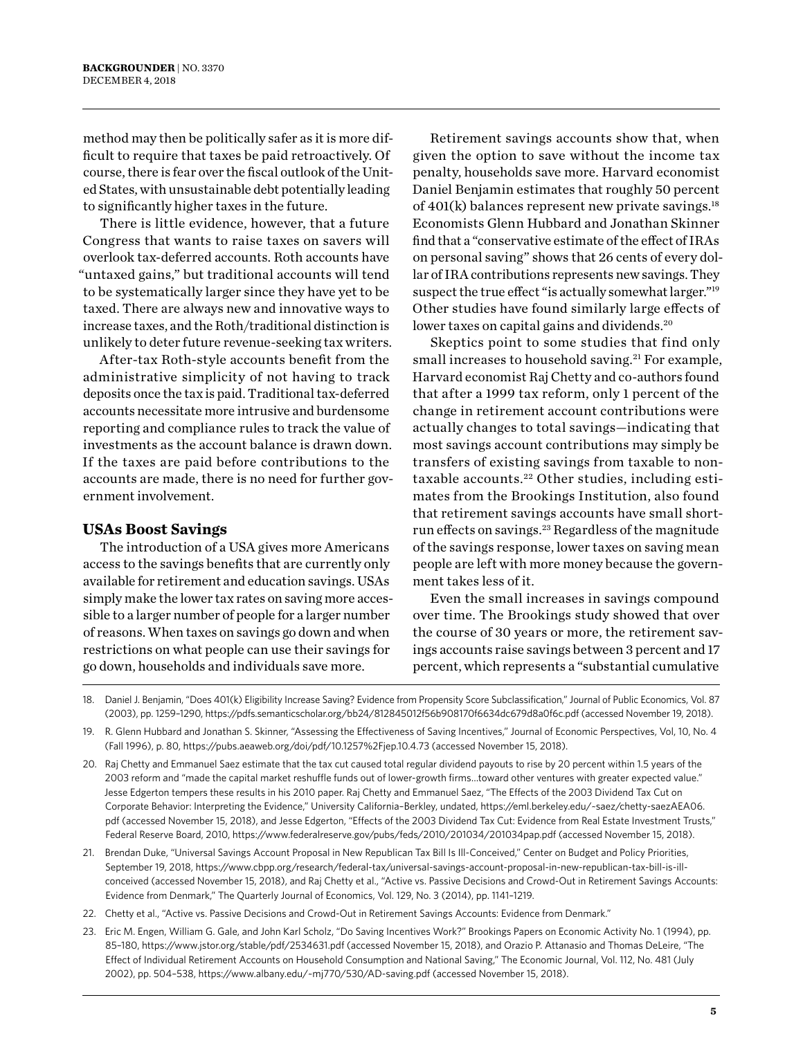method may then be politically safer as it is more difficult to require that taxes be paid retroactively. Of course, there is fear over the fiscal outlook of the United States, with unsustainable debt potentially leading to significantly higher taxes in the future.

There is little evidence, however, that a future Congress that wants to raise taxes on savers will overlook tax-deferred accounts. Roth accounts have "untaxed gains," but traditional accounts will tend to be systematically larger since they have yet to be taxed. There are always new and innovative ways to increase taxes, and the Roth/traditional distinction is unlikely to deter future revenue-seeking tax writers.

After-tax Roth-style accounts benefit from the administrative simplicity of not having to track deposits once the tax is paid. Traditional tax-deferred accounts necessitate more intrusive and burdensome reporting and compliance rules to track the value of investments as the account balance is drawn down. If the taxes are paid before contributions to the accounts are made, there is no need for further government involvement.

#### **USAs Boost Savings**

The introduction of a USA gives more Americans access to the savings benefits that are currently only available for retirement and education savings. USAs simply make the lower tax rates on saving more accessible to a larger number of people for a larger number of reasons. When taxes on savings go down and when restrictions on what people can use their savings for go down, households and individuals save more.

Retirement savings accounts show that, when given the option to save without the income tax penalty, households save more. Harvard economist Daniel Benjamin estimates that roughly 50 percent of  $401(k)$  balances represent new private savings.<sup>18</sup> Economists Glenn Hubbard and Jonathan Skinner find that a "conservative estimate of the effect of IRAs on personal saving" shows that 26 cents of every dollar of IRA contributions represents new savings. They suspect the true effect "is actually somewhat larger."<sup>19</sup> Other studies have found similarly large effects of lower taxes on capital gains and dividends.<sup>20</sup>

Skeptics point to some studies that find only small increases to household saving.<sup>21</sup> For example, Harvard economist Raj Chetty and co-authors found that after a 1999 tax reform, only 1 percent of the change in retirement account contributions were actually changes to total savings—indicating that most savings account contributions may simply be transfers of existing savings from taxable to nontaxable accounts.<sup>22</sup> Other studies, including estimates from the Brookings Institution, also found that retirement savings accounts have small shortrun effects on savings.<sup>23</sup> Regardless of the magnitude of the savings response, lower taxes on saving mean people are left with more money because the government takes less of it.

Even the small increases in savings compound over time. The Brookings study showed that over the course of 30 years or more, the retirement savings accounts raise savings between 3 percent and 17 percent, which represents a "substantial cumulative

18. Daniel J. Benjamin, "Does 401(k) Eligibility Increase Saving? Evidence from Propensity Score Subclassification," Journal of Public Economics, Vol. 87 (2003), pp. 1259–1290, <https://pdfs.semanticscholar.org/bb24/812845012f56b908170f6634dc679d8a0f6c.pdf>(accessed November 19, 2018).

19. R. Glenn Hubbard and Jonathan S. Skinner, "Assessing the Effectiveness of Saving Incentives," Journal of Economic Perspectives, Vol, 10, No. 4 (Fall 1996), p. 80, <https://pubs.aeaweb.org/doi/pdf/10.1257%2Fjep.10.4.73>(accessed November 15, 2018).

20. Raj Chetty and Emmanuel Saez estimate that the tax cut caused total regular dividend payouts to rise by 20 percent within 1.5 years of the 2003 reform and "made the capital market reshuffle funds out of lower-growth firms…toward other ventures with greater expected value." Jesse Edgerton tempers these results in his 2010 paper. Raj Chetty and Emmanuel Saez, "The Effects of the 2003 Dividend Tax Cut on Corporate Behavior: Interpreting the Evidence," University California–Berkley, undated, [https://eml.berkeley.edu/~saez/chetty-saezAEA06.](https://eml.berkeley.edu/~saez/chetty-saezAEA06.pdf) [pdf](https://eml.berkeley.edu/~saez/chetty-saezAEA06.pdf) (accessed November 15, 2018), and Jesse Edgerton, "Effects of the 2003 Dividend Tax Cut: Evidence from Real Estate Investment Trusts," Federal Reserve Board, 2010,<https://www.federalreserve.gov/pubs/feds/2010/201034/201034pap.pdf> (accessed November 15, 2018).

21. Brendan Duke, "Universal Savings Account Proposal in New Republican Tax Bill Is III-Conceived," Center on Budget and Policy Priorities, September 19, 2018, [https://www.cbpp.org/research/federal-tax/universal-savings-account-proposal-in-new-republican-tax-bill-is-ill](https://www.cbpp.org/research/federal-tax/universal-savings-account-proposal-in-new-republican-tax-bill-is-ill-conceived)[conceived](https://www.cbpp.org/research/federal-tax/universal-savings-account-proposal-in-new-republican-tax-bill-is-ill-conceived) (accessed November 15, 2018), and Raj Chetty et al., "Active vs. Passive Decisions and Crowd-Out in Retirement Savings Accounts: Evidence from Denmark," The Quarterly Journal of Economics, Vol. 129, No. 3 (2014), pp. 1141–1219.

22. Chetty et al., "Active vs. Passive Decisions and Crowd-Out in Retirement Savings Accounts: Evidence from Denmark."

23. Eric M. Engen, William G. Gale, and John Karl Scholz, "Do Saving Incentives Work?" Brookings Papers on Economic Activity No. 1 (1994), pp. 85–180,<https://www.jstor.org/stable/pdf/2534631.pdf>(accessed November 15, 2018), and Orazio P. Attanasio and Thomas DeLeire, "The Effect of Individual Retirement Accounts on Household Consumption and National Saving," The Economic Journal, Vol. 112, No. 481 (July 2002), pp. 504–538,<https://www.albany.edu/~mj770/530/AD-saving.pdf> (accessed November 15, 2018).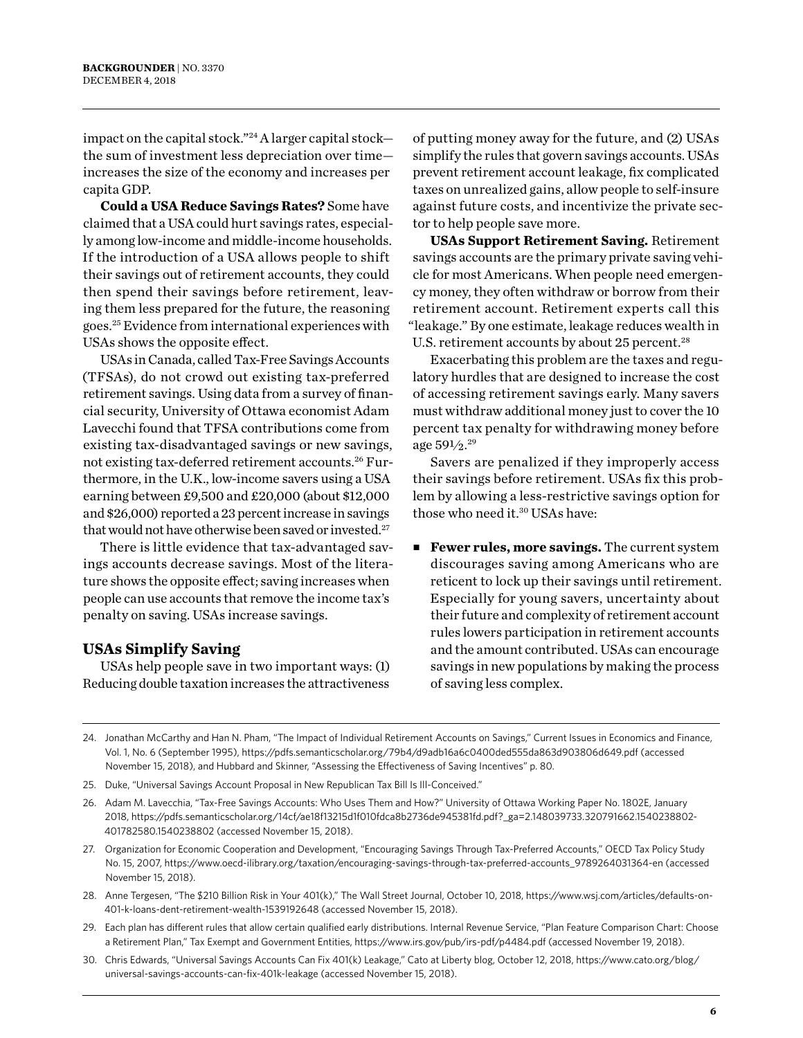impact on the capital stock."24 A larger capital stock the sum of investment less depreciation over time increases the size of the economy and increases per capita GDP.

**Could a USA Reduce Savings Rates?** Some have claimed that a USA could hurt savings rates, especially among low-income and middle-income households. If the introduction of a USA allows people to shift their savings out of retirement accounts, they could then spend their savings before retirement, leaving them less prepared for the future, the reasoning goes.25Evidence from international experiences with USAs shows the opposite effect.

USAs in Canada, called Tax-Free Savings Accounts (TFSAs), do not crowd out existing tax-preferred retirement savings. Using data from a survey of financial security, University of Ottawa economist Adam Lavecchi found that TFSA contributions come from existing tax-disadvantaged savings or new savings, not existing tax-deferred retirement accounts.26 Furthermore, in the U.K., low-income savers using a USA earning between £9,500 and £20,000 (about \$12,000 and \$26,000) reported a 23 percent increase in savings that would not have otherwise been saved or invested.<sup>27</sup>

There is little evidence that tax-advantaged savings accounts decrease savings. Most of the literature shows the opposite effect; saving increases when people can use accounts that remove the income tax's penalty on saving. USAs increase savings.

#### **USAs Simplify Saving**

USAs help people save in two important ways: (1) Reducing double taxation increases the attractiveness

of putting money away for the future, and (2) USAs simplify the rules that govern savings accounts. USAs prevent retirement account leakage, fix complicated taxes on unrealized gains, allow people to self-insure against future costs, and incentivize the private sector to help people save more.

**USAs Support Retirement Saving.** Retirement savings accounts are the primary private saving vehicle for most Americans. When people need emergency money, they often withdraw or borrow from their retirement account. Retirement experts call this "leakage." By one estimate, leakage reduces wealth in U.S. retirement accounts by about 25 percent.<sup>28</sup>

Exacerbating this problem are the taxes and regulatory hurdles that are designed to increase the cost of accessing retirement savings early. Many savers must withdraw additional money just to cover the 10 percent tax penalty for withdrawing money before age 59½.29

Savers are penalized if they improperly access their savings before retirement. USAs fix this problem by allowing a less-restrictive savings option for those who need it.30 USAs have:

**Fewer rules, more savings.** The current system discourages saving among Americans who are reticent to lock up their savings until retirement. Especially for young savers, uncertainty about their future and complexity of retirement account rules lowers participation in retirement accounts and the amount contributed. USAs can encourage savings in new populations by making the process of saving less complex.

- 25. Duke, "Universal Savings Account Proposal in New Republican Tax Bill Is Ill-Conceived."
- 26. Adam M. Lavecchia, "Tax-Free Savings Accounts: Who Uses Them and How?" University of Ottawa Working Paper No. 1802E, January 2018, [https://pdfs.semanticscholar.org/14cf/ae18f13215d1f010fdca8b2736de945381fd.pdf?\\_ga=2.148039733.320791662.1540238802-](https://pdfs.semanticscholar.org/14cf/ae18f13215d1f010fdca8b2736de945381fd.pdf?_ga=2.148039733.320791662.1540238802-401782580.1540238802) [401782580.1540238802](https://pdfs.semanticscholar.org/14cf/ae18f13215d1f010fdca8b2736de945381fd.pdf?_ga=2.148039733.320791662.1540238802-401782580.1540238802) (accessed November 15, 2018).
- 27. Organization for Economic Cooperation and Development, "Encouraging Savings Through Tax-Preferred Accounts," OECD Tax Policy Study No. 15, 2007, [https://www.oecd-ilibrary.org/taxation/encouraging-savings-through-tax-preferred-accounts\\_9789264031364-en](https://www.oecd-ilibrary.org/taxation/encouraging-savings-through-tax-preferred-accounts_9789264031364-en) (accessed November 15, 2018).
- 28. Anne Tergesen, "The \$210 Billion Risk in Your 401(k)," The Wall Street Journal, October 10, 2018, [https://www.wsj.com/articles/defaults-on-](https://www.wsj.com/articles/defaults-on-401-k-loans-dent-retirement-wealth-1539192648)[401-k-loans-dent-retirement-wealth-1539192648](https://www.wsj.com/articles/defaults-on-401-k-loans-dent-retirement-wealth-1539192648) (accessed November 15, 2018).
- 29. Each plan has different rules that allow certain qualified early distributions. Internal Revenue Service, "Plan Feature Comparison Chart: Choose a Retirement Plan," Tax Exempt and Government Entities, <https://www.irs.gov/pub/irs-pdf/p4484.pdf> (accessed November 19, 2018).
- 30. Chris Edwards, "Universal Savings Accounts Can Fix 401(k) Leakage," Cato at Liberty blog, October 12, 2018, [https://www.cato.org/blog/](https://www.cato.org/blog/universal-savings-accounts-can-fix-401k-leakage) [universal-savings-accounts-can-fix-401k-leakage](https://www.cato.org/blog/universal-savings-accounts-can-fix-401k-leakage) (accessed November 15, 2018).

<sup>24.</sup> Jonathan McCarthy and Han N. Pham, "The Impact of Individual Retirement Accounts on Savings," Current Issues in Economics and Finance, Vol. 1, No. 6 (September 1995), <https://pdfs.semanticscholar.org/79b4/d9adb16a6c0400ded555da863d903806d649.pdf>(accessed November 15, 2018), and Hubbard and Skinner, "Assessing the Effectiveness of Saving Incentives" p. 80.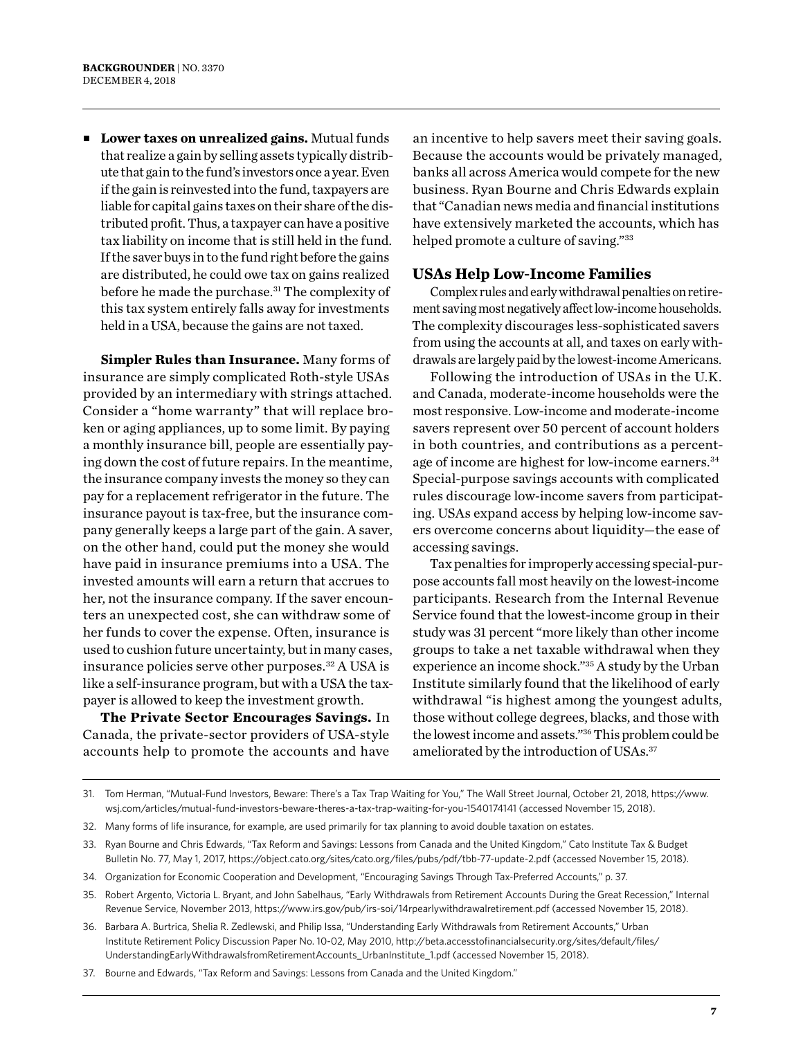**E** Lower taxes on unrealized gains. Mutual funds that realize a gain by selling assets typically distribute that gain to the fund's investors once a year. Even if the gain is reinvested into the fund, taxpayers are liable for capital gains taxes on their share of the distributed profit. Thus, a taxpayer can have a positive tax liability on income that is still held in the fund. If the saver buys in to the fund right before the gains are distributed, he could owe tax on gains realized before he made the purchase.31 The complexity of this tax system entirely falls away for investments held in a USA, because the gains are not taxed.

**Simpler Rules than Insurance.** Many forms of insurance are simply complicated Roth-style USAs provided by an intermediary with strings attached. Consider a "home warranty" that will replace broken or aging appliances, up to some limit. By paying a monthly insurance bill, people are essentially paying down the cost of future repairs. In the meantime, the insurance company invests the money so they can pay for a replacement refrigerator in the future. The insurance payout is tax-free, but the insurance company generally keeps a large part of the gain. A saver, on the other hand, could put the money she would have paid in insurance premiums into a USA. The invested amounts will earn a return that accrues to her, not the insurance company. If the saver encounters an unexpected cost, she can withdraw some of her funds to cover the expense. Often, insurance is used to cushion future uncertainty, but in many cases, insurance policies serve other purposes.32 A USA is like a self-insurance program, but with a USA the taxpayer is allowed to keep the investment growth.

**The Private Sector Encourages Savings.** In Canada, the private-sector providers of USA-style accounts help to promote the accounts and have

an incentive to help savers meet their saving goals. Because the accounts would be privately managed, banks all across America would compete for the new business. Ryan Bourne and Chris Edwards explain that "Canadian news media and financial institutions have extensively marketed the accounts, which has helped promote a culture of saving."33

#### **USAs Help Low-Income Families**

Complex rules and early withdrawal penalties on retirement saving most negatively affect low-income households. The complexity discourages less-sophisticated savers from using the accounts at all, and taxes on early withdrawals are largely paid by the lowest-income Americans.

Following the introduction of USAs in the U.K. and Canada, moderate-income households were the most responsive. Low-income and moderate-income savers represent over 50 percent of account holders in both countries, and contributions as a percentage of income are highest for low-income earners.34 Special-purpose savings accounts with complicated rules discourage low-income savers from participating. USAs expand access by helping low-income savers overcome concerns about liquidity—the ease of accessing savings.

Tax penalties for improperly accessing special-purpose accounts fall most heavily on the lowest-income participants. Research from the Internal Revenue Service found that the lowest-income group in their study was 31 percent "more likely than other income groups to take a net taxable withdrawal when they experience an income shock."35 A study by the Urban Institute similarly found that the likelihood of early withdrawal "is highest among the youngest adults, those without college degrees, blacks, and those with the lowest income and assets."36 This problem could be ameliorated by the introduction of USAs.<sup>37</sup>

- 35. Robert Argento, Victoria L. Bryant, and John Sabelhaus, "Early Withdrawals from Retirement Accounts During the Great Recession," Internal Revenue Service, November 2013,<https://www.irs.gov/pub/irs-soi/14rpearlywithdrawalretirement.pdf> (accessed November 15, 2018).
- 36. Barbara A. Burtrica, Shelia R. Zedlewski, and Philip Issa, "Understanding Early Withdrawals from Retirement Accounts," Urban Institute Retirement Policy Discussion Paper No. 10-02, May 2010, [http://beta.accesstofinancialsecurity.org/sites/default/files/](http://beta.accesstofinancialsecurity.org/sites/default/files/UnderstandingEarlyWithdrawalsfromRetirementAccounts_UrbanInstitute_1.pdf) [UnderstandingEarlyWithdrawalsfromRetirementAccounts\\_UrbanInstitute\\_1.pdf](http://beta.accesstofinancialsecurity.org/sites/default/files/UnderstandingEarlyWithdrawalsfromRetirementAccounts_UrbanInstitute_1.pdf) (accessed November 15, 2018).

37. Bourne and Edwards, "Tax Reform and Savings: Lessons from Canada and the United Kingdom."

<sup>31.</sup> Tom Herman, "Mutual-Fund Investors, Beware: There's a Tax Trap Waiting for You," The Wall Street Journal, October 21, 2018, [https://www.](https://www.wsj.com/articles/mutual-fund-investors-beware-theres-a-tax-trap-waiting-for-you-1540174141) [wsj.com/articles/mutual-fund-investors-beware-theres-a-tax-trap-waiting-for-you-1540174141](https://www.wsj.com/articles/mutual-fund-investors-beware-theres-a-tax-trap-waiting-for-you-1540174141) (accessed November 15, 2018).

<sup>32.</sup> Many forms of life insurance, for example, are used primarily for tax planning to avoid double taxation on estates.

<sup>33.</sup> Ryan Bourne and Chris Edwards, "Tax Reform and Savings: Lessons from Canada and the United Kingdom," Cato Institute Tax & Budget Bulletin No. 77, May 1, 2017,<https://object.cato.org/sites/cato.org/files/pubs/pdf/tbb-77-update-2.pdf>(accessed November 15, 2018).

<sup>34.</sup> Organization for Economic Cooperation and Development, "Encouraging Savings Through Tax-Preferred Accounts," p. 37.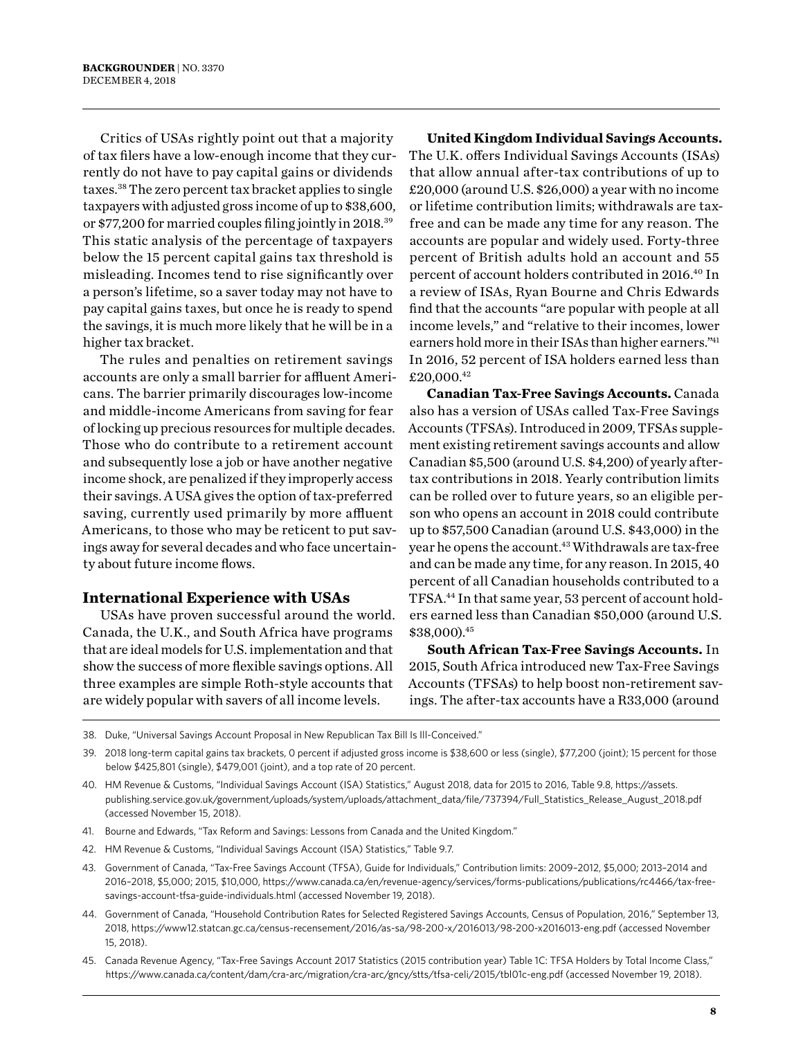Critics of USAs rightly point out that a majority of tax filers have a low-enough income that they currently do not have to pay capital gains or dividends taxes.38 The zero percent tax bracket applies to single taxpayers with adjusted gross income of up to \$38,600, or \$77,200 for married couples filing jointly in 2018.39 This static analysis of the percentage of taxpayers below the 15 percent capital gains tax threshold is misleading. Incomes tend to rise significantly over a person's lifetime, so a saver today may not have to pay capital gains taxes, but once he is ready to spend the savings, it is much more likely that he will be in a higher tax bracket.

The rules and penalties on retirement savings accounts are only a small barrier for affluent Americans. The barrier primarily discourages low-income and middle-income Americans from saving for fear of locking up precious resources for multiple decades. Those who do contribute to a retirement account and subsequently lose a job or have another negative income shock, are penalized if they improperly access their savings. A USA gives the option of tax-preferred saving, currently used primarily by more affluent Americans, to those who may be reticent to put savings away for several decades and who face uncertainty about future income flows.

#### **International Experience with USAs**

USAs have proven successful around the world. Canada, the U.K., and South Africa have programs that are ideal models for U.S. implementation and that show the success of more flexible savings options. All three examples are simple Roth-style accounts that are widely popular with savers of all income levels.

**United Kingdom Individual Savings Accounts.**  The U.K. offers Individual Savings Accounts (ISAs) that allow annual after-tax contributions of up to £20,000 (around U.S. \$26,000) a year with no income or lifetime contribution limits; withdrawals are taxfree and can be made any time for any reason. The accounts are popular and widely used. Forty-three percent of British adults hold an account and 55 percent of account holders contributed in 2016.40 In a review of ISAs, Ryan Bourne and Chris Edwards find that the accounts "are popular with people at all income levels," and "relative to their incomes, lower earners hold more in their ISAs than higher earners."<sup>41</sup> In 2016, 52 percent of ISA holders earned less than £20,000.42

**Canadian Tax-Free Savings Accounts.** Canada also has a version of USAs called Tax-Free Savings Accounts (TFSAs). Introduced in 2009, TFSAs supplement existing retirement savings accounts and allow Canadian \$5,500 (around U.S. \$4,200) of yearly aftertax contributions in 2018. Yearly contribution limits can be rolled over to future years, so an eligible person who opens an account in 2018 could contribute up to \$57,500 Canadian (around U.S. \$43,000) in the year he opens the account.<sup>43</sup> Withdrawals are tax-free and can be made any time, for any reason. In 2015, 40 percent of all Canadian households contributed to a TFSA.44 In that same year, 53 percent of account holders earned less than Canadian \$50,000 (around U.S. \$38,000).45

**South African Tax-Free Savings Accounts.** In 2015, South Africa introduced new Tax-Free Savings Accounts (TFSAs) to help boost non-retirement savings. The after-tax accounts have a R33,000 (around

38. Duke, "Universal Savings Account Proposal in New Republican Tax Bill Is Ill-Conceived."

- 41. Bourne and Edwards, "Tax Reform and Savings: Lessons from Canada and the United Kingdom."
- 42. HM Revenue & Customs, "Individual Savings Account (ISA) Statistics," Table 9.7.
- 43. Government of Canada, "Tax-Free Savings Account (TFSA), Guide for Individuals," Contribution limits: 2009–2012, \$5,000; 2013–2014 and 2016–2018, \$5,000; 2015, \$10,000, [https://www.canada.ca/en/revenue-agency/services/forms-publications/publications/rc4466/tax-free](https://www.canada.ca/en/revenue-agency/services/forms-publications/publications/rc4466/tax-free-savings-account-tfsa-guide-individuals.html)[savings-account-tfsa-guide-individuals.html](https://www.canada.ca/en/revenue-agency/services/forms-publications/publications/rc4466/tax-free-savings-account-tfsa-guide-individuals.html) (accessed November 19, 2018).
- 44. Government of Canada, "Household Contribution Rates for Selected Registered Savings Accounts, Census of Population, 2016," September 13, 2018,<https://www12.statcan.gc.ca/census-recensement/2016/as-sa/98-200-x/2016013/98-200-x2016013-eng.pdf> (accessed November 15, 2018).
- 45. Canada Revenue Agency, "Tax-Free Savings Account 2017 Statistics (2015 contribution year) Table 1C: TFSA Holders by Total Income Class," <https://www.canada.ca/content/dam/cra-arc/migration/cra-arc/gncy/stts/tfsa-celi/2015/tbl01c-eng.pdf>(accessed November 19, 2018).

<sup>39.</sup> 2018 long-term capital gains tax brackets, 0 percent if adjusted gross income is \$38,600 or less (single), \$77,200 (joint); 15 percent for those below \$425,801 (single), \$479,001 (joint), and a top rate of 20 percent.

<sup>40.</sup> HM Revenue & Customs, "Individual Savings Account (ISA) Statistics," August 2018, data for 2015 to 2016, Table 9.8, [https://assets.](https://assets.publishing.service.gov.uk/government/uploads/system/uploads/attachment_data/file/737394/Full_Statistics_Release_August_2018.pdf) [publishing.service.gov.uk/government/uploads/system/uploads/attachment\\_data/file/737394/Full\\_Statistics\\_Release\\_August\\_2018.pdf](https://assets.publishing.service.gov.uk/government/uploads/system/uploads/attachment_data/file/737394/Full_Statistics_Release_August_2018.pdf) (accessed November 15, 2018).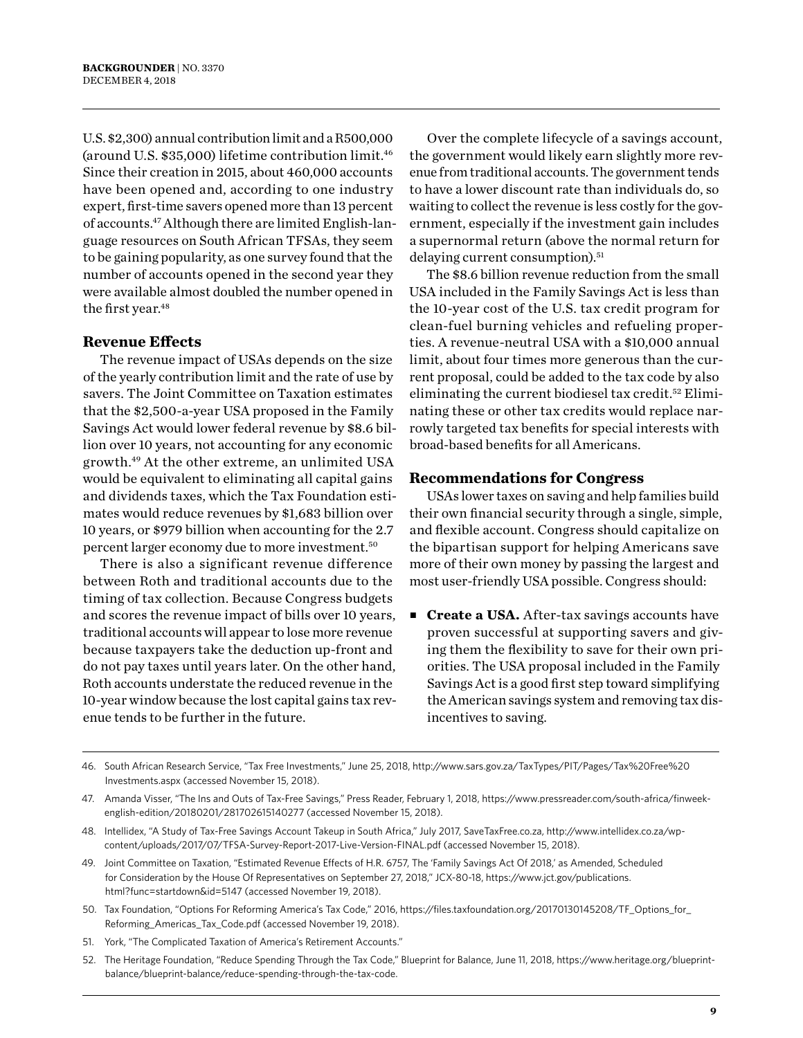U.S. \$2,300) annual contribution limit and a R500,000 (around U.S. \$35,000) lifetime contribution limit.46 Since their creation in 2015, about 460,000 accounts have been opened and, according to one industry expert, first-time savers opened more than 13 percent of accounts.47 Although there are limited English-language resources on South African TFSAs, they seem to be gaining popularity, as one survey found that the number of accounts opened in the second year they were available almost doubled the number opened in the first year.<sup>48</sup>

#### **Revenue Effects**

The revenue impact of USAs depends on the size of the yearly contribution limit and the rate of use by savers. The Joint Committee on Taxation estimates that the \$2,500-a-year USA proposed in the Family Savings Act would lower federal revenue by \$8.6 billion over 10 years, not accounting for any economic growth.49 At the other extreme, an unlimited USA would be equivalent to eliminating all capital gains and dividends taxes, which the Tax Foundation estimates would reduce revenues by \$1,683 billion over 10 years, or \$979 billion when accounting for the 2.7 percent larger economy due to more investment.50

There is also a significant revenue difference between Roth and traditional accounts due to the timing of tax collection. Because Congress budgets and scores the revenue impact of bills over 10 years, traditional accounts will appear to lose more revenue because taxpayers take the deduction up-front and do not pay taxes until years later. On the other hand, Roth accounts understate the reduced revenue in the 10-year window because the lost capital gains tax revenue tends to be further in the future.

Over the complete lifecycle of a savings account, the government would likely earn slightly more revenue from traditional accounts. The government tends to have a lower discount rate than individuals do, so waiting to collect the revenue is less costly for the government, especially if the investment gain includes a supernormal return (above the normal return for delaying current consumption).<sup>51</sup>

The \$8.6 billion revenue reduction from the small USA included in the Family Savings Act is less than the 10-year cost of the U.S. tax credit program for clean-fuel burning vehicles and refueling properties. A revenue-neutral USA with a \$10,000 annual limit, about four times more generous than the current proposal, could be added to the tax code by also eliminating the current biodiesel tax credit.<sup>52</sup> Eliminating these or other tax credits would replace narrowly targeted tax benefits for special interests with broad-based benefits for all Americans.

#### **Recommendations for Congress**

USAs lower taxes on saving and help families build their own financial security through a single, simple, and flexible account. Congress should capitalize on the bipartisan support for helping Americans save more of their own money by passing the largest and most user-friendly USA possible. Congress should:

■ **Create a USA.** After-tax savings accounts have proven successful at supporting savers and giving them the flexibility to save for their own priorities. The USA proposal included in the Family Savings Act is a good first step toward simplifying the American savings system and removing tax disincentives to saving.

- 50. Tax Foundation, "Options For Reforming America's Tax Code," 2016, [https://files.taxfoundation.org/20170130145208/TF\\_Options\\_for\\_](https://files.taxfoundation.org/20170130145208/TF_Options_for_Reforming_Americas_Tax_Code.pdf) [Reforming\\_Americas\\_Tax\\_Code.pdf](https://files.taxfoundation.org/20170130145208/TF_Options_for_Reforming_Americas_Tax_Code.pdf) (accessed November 19, 2018).
- 51. York, "The Complicated Taxation of America's Retirement Accounts."
- 52. The Heritage Foundation, "Reduce Spending Through the Tax Code," Blueprint for Balance, June 11, 2018, [https://www.heritage.org/blueprint](https://www.heritage.org/blueprint-balance/blueprint-balance/reduce-spending-through-the-tax-code)[balance/blueprint-balance/reduce-spending-through-the-tax-code.](https://www.heritage.org/blueprint-balance/blueprint-balance/reduce-spending-through-the-tax-code)

<sup>46.</sup> South African Research Service, "Tax Free Investments," June 25, 2018, [http://www.sars.gov.za/TaxTypes/PIT/Pages/Tax%20Free%20](http://www.sars.gov.za/TaxTypes/PIT/Pages/Tax%20Free%20Investments.aspx) [Investments.aspx](http://www.sars.gov.za/TaxTypes/PIT/Pages/Tax%20Free%20Investments.aspx) (accessed November 15, 2018).

<sup>47.</sup> Amanda Visser, "The Ins and Outs of Tax-Free Savings," Press Reader, February 1, 2018, [https://www.pressreader.com/south-africa/finweek](https://www.pressreader.com/south-africa/finweek-english-edition/20180201/281702615140277)[english-edition/20180201/281702615140277](https://www.pressreader.com/south-africa/finweek-english-edition/20180201/281702615140277) (accessed November 15, 2018).

<sup>48.</sup> Intellidex, "A Study of Tax-Free Savings Account Takeup in South Africa," July 2017, SaveTaxFree.co.za, [http://www.intellidex.co.za/wp](http://www.intellidex.co.za/wp-content/uploads/2017/07/TFSA-Survey-Report-2017-Live-Version-FINAL.pdf)[content/uploads/2017/07/TFSA-Survey-Report-2017-Live-Version-FINAL.pdf](http://www.intellidex.co.za/wp-content/uploads/2017/07/TFSA-Survey-Report-2017-Live-Version-FINAL.pdf) (accessed November 15, 2018).

<sup>49.</sup> Joint Committee on Taxation, "Estimated Revenue Effects of H.R. 6757, The 'Family Savings Act Of 2018,' as Amended, Scheduled for Consideration by the House Of Representatives on September 27, 2018," JCX-80-18, [https://www.jct.gov/publications.](https://www.jct.gov/publications.html?func=startdown&id=5147) [html?func=startdown&id=5147](https://www.jct.gov/publications.html?func=startdown&id=5147) (accessed November 19, 2018).